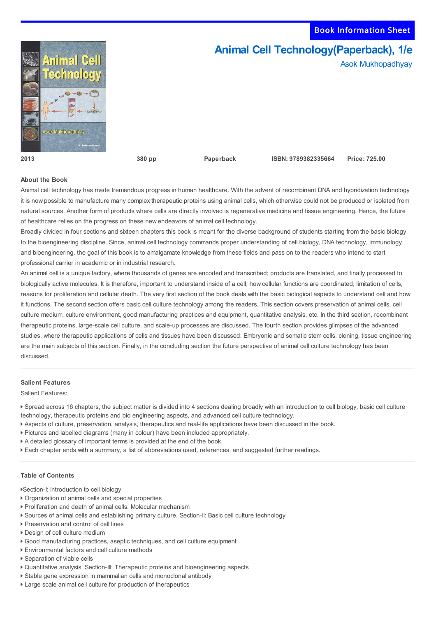Book Information Sheet



## **About the Book**

Animal cell technology has made tremendous progress in human healthcare. With the advent of recombinant DNA and hybridization technology it is now possible to manufacture many complex therapeutic proteins using animal cells, which otherwise could not be produced or isolated from natural sources. Another form of products where cells are directly involved is regenerative medicine and tissue engineering. Hence, the future of healthcare relies on the progress on these new endeavors of animal cell technology.

Broadly divided in four sections and sixteen chapters this book is meant for the diverse background of students starting from the basic biology to the bioengineering discipline. Since, animal cell technology commands proper understanding of cell biology, DNA technology, immunology and bioengineering, the goal of this book is to amalgamate knowledge from these fields and pass on to the readers who intend to start professional carrier in academic or in industrial research.

An animal cell is a unique factory, where thousands of genes are encoded and transcribed; products are translated, and finally processed to biologically active molecules. It is therefore, important to understand inside of a cell, how cellular functions are coordinated, limitation of cells, reasons for proliferation and cellular death. The very first section of the book deals with the basic biological aspects to understand cell and how it functions. The second section offers basic cell culture technology among the readers. This section covers preservation of animal cells, cell culture medium, culture environment, good manufacturing practices and equipment, quantitative analysis, etc. In the third section, recombinant therapeutic proteins, large-scale cell culture, and scale-up processes are discussed. The fourth section provides glimpses of the advanced studies, where therapeutic applications of cells and tissues have been discussed. Embryonic and somatic stem cells, cloning, tissue engineering are the main subjects of this section. Finally, in the concluding section the future perspective of animal cell culture technology has been discussed.

## **Salient Features**

Salient Features:

 Spread across 16 chapters, the subject matter is divided into 4 sections dealing broadly with an introduction to cell biology, basic cell culture technology, therapeutic proteins and bio engineering aspects, and advanced cell culture technology.

- Aspects of culture, preservation, analysis, therapeutics and real-life applications have been discussed in the book.
- Pictures and labelled diagrams (many in colour) have been included appropriately.
- A detailed glossary of important terms is provided at the end of the book.
- Each chapter ends with a summary, a list of abbreviations used, references, and suggested further readings.

## **Table of Contents**

Section-I: Introduction to cell biology

- Organization of animal cells and special properties
- Proliferation and death of animal cells: Molecular mechanism
- Sources of animal cells and establishing primary culture. Section-II: Basic cell culture technology
- ▶ Preservation and control of cell lines
- Design of cell culture medium
- Good manufacturing practices, aseptic techniques, and cell culture equipment
- Environmental factors and cell culture methods
- Separation of viable cells
- Quantitative analysis. Section-III: Therapeutic proteins and bioengineering aspects
- Stable gene expression in mammalian cells and monoclonal antibody
- Large scale animal cell culture for production of therapeutics